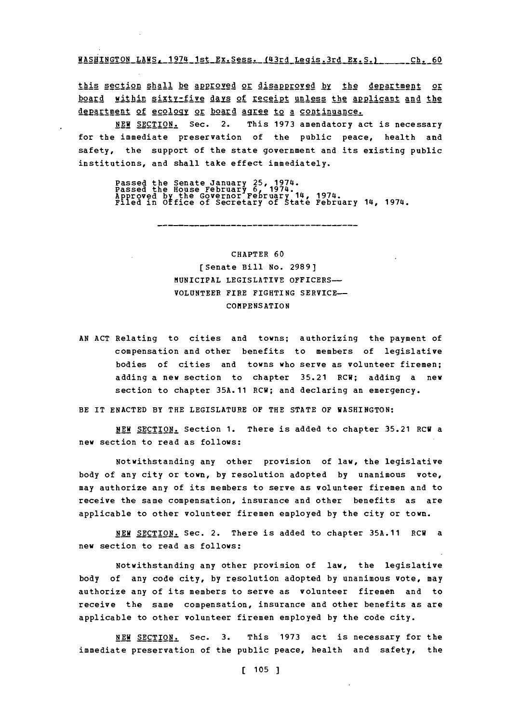**WASHINGTON LAWS, 1974 1st Ex.Sess. (43rd Legis.3rd Ex.S.) \_\_\_\_\_\_ Ch. 60** 

this section shall be approved or disapproved by the department or board within sixty-five days of receipt unless the applicant and the department of ecology or board agree to a continuance.

**NEW** SECTION. Sec. 2. This **1973** amendatory act is necessary for the immediate preservation of the public peace, health and safety, the support of the state government and its existing public institutions, and shall take effect immediately.

Passed the Senate January 25, 1974.<br>Passed the House February 6, 1974.<br>Approved by the Governor February 14, 1974.<br>Filed in Office of Secretary of State February 14, 1974.

## CHAPTER **60** [Senate Bill No. **2989)** MUNICIPAL LEGISLATIVE OFFICERS-**VOLUNTEER** FIRE FIGHTING SERVICE-COMPENSATION

**AN ACT** Relating to cities and towns; authorizing the payment of compensation and other benefits to members of legislative bodies of cities and towns who serve as volunteer firemen; adding a new section to chapter **35.21** RCW; adding a new section to chapter **35A.11** RCW; and declaring an emergency.

BE IT **ENACTED** BY THE LEGISLATURE OF THE **STATE** OF WASHINGTON:

**NEW SECTION.** Section **1.** There is added to chapter **35.21** ECU a new section to read as follows:

Notwithstanding any other provision of law, the legislative body of any city or town, **by** resolution adopted **by** unanimous vote, may authorize any of its members to serve as volunteer firemen and to receive the same compensation, insurance and other benefits as are applicable to other volunteer firemen employed **by** the city or town.

**NEW** SECTION. Sec. 2. There is added to chapter **35A.11** RCW a new section to read as follows:

Notwithstanding any other provision of law, the legislative body of any code city, **by** resolution adopted **by** unanimous vote, may authorize any of its members to serve as volunteer firemen and to receive the same compensation, insurance and other benefits as are applicable to other volunteer firemen employed **by** the code city.

**NEW** SECTION. Sec. **3.** This **1973** act is necessary for the immediate preservation of the public peace, health and safety, the

[ **105 ]**